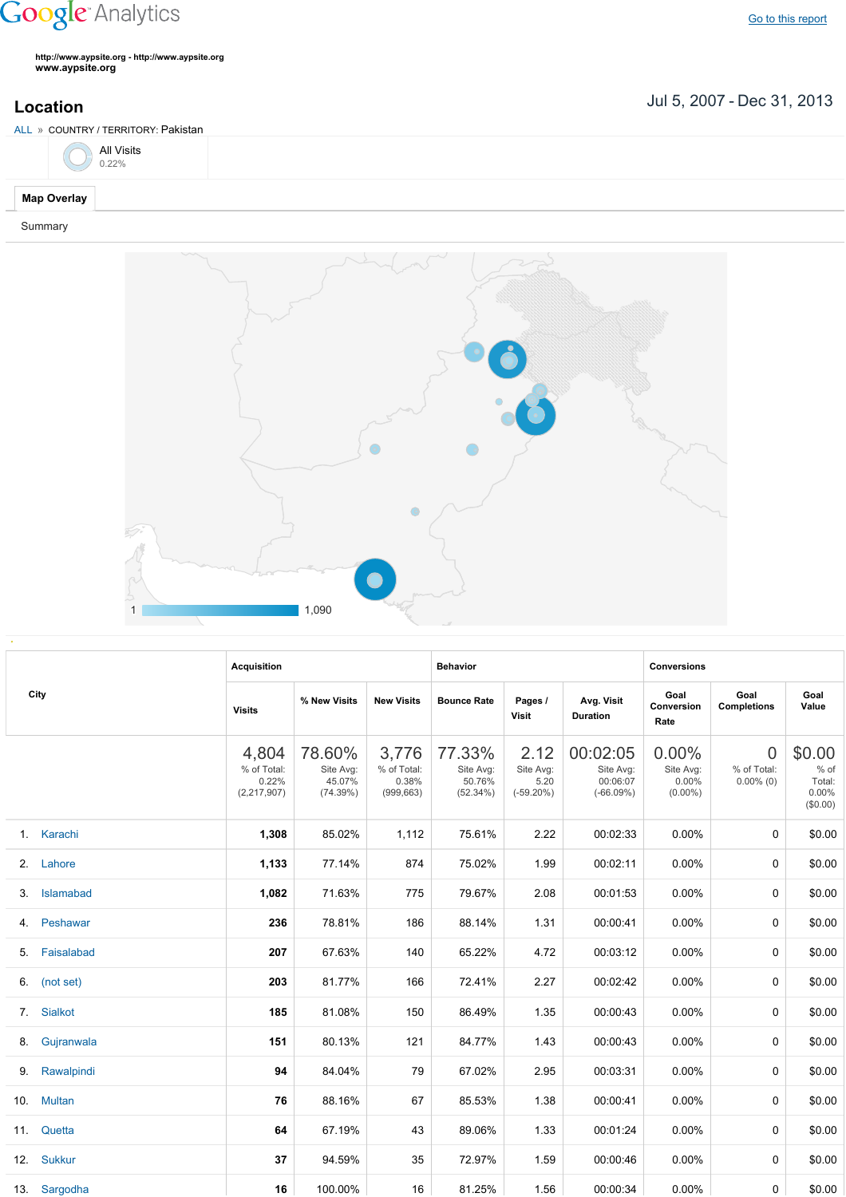## **Google** Analytics

Go to this [report](https://www.google.com/analytics/web/?utm_source=pdfReportLink#report/visitors-geo/a2184169w3912412p4016214/%3F_u.date00%3D20070705%26_u.date01%3D20131231%26geo-table.plotKeys%3D%5B%5D%26geo-table.rowStart%3D0%26geo-table.rowCount%3D1000%26_r.drilldown%3Danalytics.country%3APK/)

**http://www.aypsite.org http://www.aypsite.org www.aypsite.org**

**Location** Jul 5, 2007 - Dec 31, 2013

|                    | ALL » COUNTRY / TERRITORY: Pakistan |  |
|--------------------|-------------------------------------|--|
|                    | $\bigcirc$ All Visits 0.22%         |  |
| <b>Map Overlay</b> |                                     |  |

Summary



|     | City           | <b>Acquisition</b>                             |                                           |                                             | <b>Behavior</b>                           |                                           |                                                  | <b>Conversions</b>                        |                                               |                                                 |
|-----|----------------|------------------------------------------------|-------------------------------------------|---------------------------------------------|-------------------------------------------|-------------------------------------------|--------------------------------------------------|-------------------------------------------|-----------------------------------------------|-------------------------------------------------|
|     |                | <b>Visits</b>                                  | % New Visits                              | <b>New Visits</b>                           | <b>Bounce Rate</b>                        | Pages /<br><b>Visit</b>                   | Avg. Visit<br><b>Duration</b>                    | Goal<br>Conversion<br>Rate                | Goal<br><b>Completions</b>                    | Goal<br>Value                                   |
|     |                | 4,804<br>% of Total:<br>0.22%<br>(2, 217, 907) | 78.60%<br>Site Avg:<br>45.07%<br>(74.39%) | 3,776<br>% of Total:<br>0.38%<br>(999, 663) | 77.33%<br>Site Avg:<br>50.76%<br>(52.34%) | 2.12<br>Site Avg:<br>5.20<br>$(-59.20\%)$ | 00:02:05<br>Site Avg:<br>00:06:07<br>$(-66.09%)$ | 0.00%<br>Site Avg:<br>0.00%<br>$(0.00\%)$ | $\overline{0}$<br>% of Total:<br>$0.00\%$ (0) | \$0.00<br>$%$ of<br>Total:<br>0.00%<br>(\$0.00) |
|     | 1. Karachi     | 1,308                                          | 85.02%                                    | 1,112                                       | 75.61%                                    | 2.22                                      | 00:02:33                                         | 0.00%                                     | $\Omega$                                      | \$0.00                                          |
|     | 2. Lahore      | 1,133                                          | 77.14%                                    | 874                                         | 75.02%                                    | 1.99                                      | 00:02:11                                         | 0.00%                                     | 0                                             | \$0.00                                          |
| 3.  | Islamabad      | 1,082                                          | 71.63%                                    | 775                                         | 79.67%                                    | 2.08                                      | 00:01:53                                         | 0.00%                                     | 0                                             | \$0.00                                          |
| 4.  | Peshawar       | 236                                            | 78.81%                                    | 186                                         | 88.14%                                    | 1.31                                      | 00:00:41                                         | 0.00%                                     | $\Omega$                                      | \$0.00                                          |
| 5.  | Faisalabad     | 207                                            | 67.63%                                    | 140                                         | 65.22%                                    | 4.72                                      | 00:03:12                                         | 0.00%                                     | $\Omega$                                      | \$0.00                                          |
| 6.  | (not set)      | 203                                            | 81.77%                                    | 166                                         | 72.41%                                    | 2.27                                      | 00:02:42                                         | 0.00%                                     | 0                                             | \$0.00                                          |
| 7.  | <b>Sialkot</b> | 185                                            | 81.08%                                    | 150                                         | 86.49%                                    | 1.35                                      | 00:00:43                                         | 0.00%                                     | 0                                             | \$0.00                                          |
| 8.  | Gujranwala     | 151                                            | 80.13%                                    | 121                                         | 84.77%                                    | 1.43                                      | 00:00:43                                         | 0.00%                                     | $\Omega$                                      | \$0.00                                          |
| 9.  | Rawalpindi     | 94                                             | 84.04%                                    | 79                                          | 67.02%                                    | 2.95                                      | 00:03:31                                         | 0.00%                                     | $\Omega$                                      | \$0.00                                          |
| 10. | <b>Multan</b>  | 76                                             | 88.16%                                    | 67                                          | 85.53%                                    | 1.38                                      | 00:00:41                                         | 0.00%                                     | 0                                             | \$0.00                                          |
|     | 11. Quetta     | 64                                             | 67.19%                                    | 43                                          | 89.06%                                    | 1.33                                      | 00:01:24                                         | $0.00\%$                                  | 0                                             | \$0.00                                          |
|     | 12. Sukkur     | 37                                             | 94.59%                                    | 35                                          | 72.97%                                    | 1.59                                      | 00:00:46                                         | $0.00\%$                                  | $\Omega$                                      | \$0.00                                          |
|     | 13. Sargodha   | 16                                             | 100.00%                                   | 16                                          | 81.25%                                    | 1.56                                      | 00:00:34                                         | $0.00\%$                                  | 0                                             | \$0.00                                          |